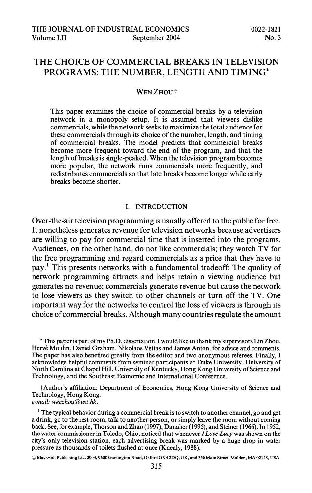# **THE CHOICE OF COMMERCIAL BREAKS IN TELEVISION PROGRAMS: THE NUMBER, LENGTH AND TIMING\***

## WEN ZHOU<sup>+</sup>

**This paper examines the choice of commercial breaks by a television network in a monopoly setup. It is assumed that viewers dislike commercials, while the network seeks to maximize the total audience for these commercials through its choice of the number, length, and timing of commercial breaks. The model predicts that commercial breaks become more frequent toward the end of the program, and that the length of breaks is single-peaked. When the television program becomes more popular, the network runs commercials more frequently, and redistributes commercials so that late breaks become longer while early breaks become shorter.** 

### **I. INTRODUCTION**

**Over-the-air television programming is usually offered to the public for free. It nonetheless generates revenue for television networks because advertisers are willing to pay for commercial time that is inserted into the programs. Audiences, on the other hand, do not like commercials; they watch TV for the free programming and regard commercials as a price that they have to pay.' This presents networks with a fundamental tradeoff: The quality of network programming attracts and helps retain a viewing audience but generates no revenue; commercials generate revenue but cause the network to lose viewers as they switch to other channels or turn off the TV. One important way for the networks to control the loss of viewers is through its choice of commercial breaks. Although many countries regulate the amount** 

**\* This paper is part of my Ph.D. dissertation. Iwould like to thank my supervisors Lin Zhou,**  Hervé Moulin, Daniel Graham, Nikolaos Vettas and James Anton, for advice and comments. **The paper has also benefited greatly from the editor and two anonymous referees. Finally, I acknowledge helpful comments from seminar participants at Duke University, University of North Carolina at Chapel Hill, University of Kentucky, Hong Kong University of Science and Technology, and the Southeast Economic and International Conference.** 

**tAuthor's affiliation: Department of Economics, Hong Kong University of Science and Technology, Hong Kong.** 

**e-mail: wenzhou@ust.hk.** 

**1 The typical behavior during a commercial break is to switch to another channel, go and get a drink, go to the rest room, talk to another person, or simply leave the room without coming back. See, for example, Thorson and Zhao (1997), Danaher (1995), and Steiner (1966). In 1952, the water commissioner in Toledo, Ohio, noticed that whenever I Love Lucy was shown on the city's only television station, each advertising break was marked by a huge drop in water pressure as thousands of toilets flushed at once (Knealy, 1988).** 

**? Blackwell Publishing Ltd. 2004, 9600 Garsington Road, Oxford OX4 2DQ, UK, and 350 Main Street, Malden, MA 02148, USA.**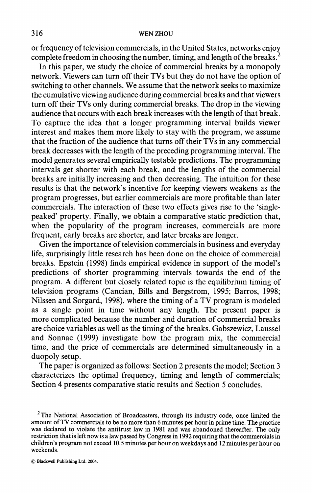## **316 WEN ZHOU**

**or frequency of television commercials, in the United States, networks enjoy complete freedom in choosing the number, timing, and length of the breaks.2** 

**In this paper, we study the choice of commercial breaks by a monopoly network. Viewers can turn off their TVs but they do not have the option of switching to other channels. We assume that the network seeks to maximize the cumulative viewing audience during commercial breaks and that viewers turn off their TVs only during commercial breaks. The drop in the viewing audience that occurs with each break increases with the length of that break. To capture the idea that a longer programming interval builds viewer interest and makes them more likely to stay with the program, we assume that the fraction of the audience that turns off their TVs in any commercial break decreases with the length of the preceding programming interval. The model generates several empirically testable predictions. The programming intervals get shorter with each break, and the lengths of the commercial breaks are initially increasing and then decreasing. The intuition for these results is that the network's incentive for keeping viewers weakens as the program progresses, but earlier commercials are more profitable than later commercials. The interaction of these two effects gives rise to the 'singlepeaked' property. Finally, we obtain a comparative static prediction that, when the popularity of the program increases, commercials are more frequent, early breaks are shorter, and later breaks are longer.** 

**Given the importance of television commercials in business and everyday life, surprisingly little research has been done on the choice of commercial breaks. Epstein (1998) finds empirical evidence in support of the model's predictions of shorter programming intervals towards the end of the program. A different but closely related topic is the equilibrium timing of television programs (Cancian, Bills and Bergstrom, 1995; Barros, 1998; Nilssen and Sorgard, 1998), where the timing of a TV program is modeled as a single point in time without any length. The present paper is more complicated because the number and duration of commercial breaks are choice variables as well as the timing of the breaks. Gabszewicz, Laussel and Sonnac (1999) investigate how the program mix, the commercial time, and the price of commercials are determined simultaneously in a duopoly setup.** 

**The paper is organized as follows: Section 2 presents the model; Section 3 characterizes the optimal frequency, timing and length of commercials; Section 4 presents comparative static results and Section 5 concludes.** 

**<sup>2</sup>The National Association of Broadcasters, through its industry code, once limited the amount of TV commercials to be no more than 6 minutes per hour in prime time. The practice was declared to violate the antitrust law in 1981 and was abandoned thereafter. The only restriction that is left now is a law passed by Congress in 1992 requiring that the commercials in children's program not exceed 10.5 minutes per hour on weekdays and 12 minutes per hour on weekends.**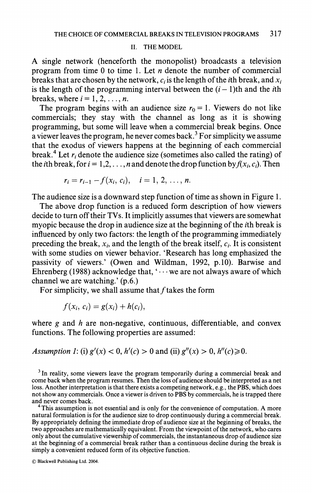#### **II. THE MODEL**

**A single network (henceforth the monopolist) broadcasts a television program from time 0 to time 1. Let n denote the number of commercial**  breaks that are chosen by the network,  $c_i$  is the length of the *i*th break, and  $x_i$ is the length of the programming interval between the  $(i - 1)$ <sup>th</sup> and the *i*<sup>th</sup> breaks, where  $i = 1, 2, \ldots, n$ .

The program begins with an audience size  $r_0 = 1$ . Viewers do not like **commercials; they stay with the channel as long as it is showing programming, but some will leave when a commercial break begins. Once a viewer leaves the program, he never comes back.3 For simplicity we assume that the exodus of viewers happens at the beginning of each commercial**  break.<sup>4</sup> Let  $r_i$  denote the audience size (sometimes also called the rating) of the *i*th break, for  $i = 1, 2, ..., n$  and denote the drop function by  $f(x_i, c_i)$ . Then

$$
r_i = r_{i-1} - f(x_i, c_i), \quad i = 1, 2, ..., n.
$$

**The audience size is a downward step function of time as shown in Figure 1.** 

**The above drop function is a reduced form description of how viewers decide to turn off their TVs. It implicitly assumes that viewers are somewhat myopic because the drop in audience size at the beginning of the ith break is influenced by only two factors: the length of the programming immediately**  preceding the break,  $x_i$ , and the length of the break itself,  $c_i$ . It is consistent **with some studies on viewer behavior. 'Research has long emphasized the passivity of viewers.' (Owen and Wildman, 1992, p.10). Barwise and Ehrenberg (1988) acknowledge that,' ... we are not always aware of which channel we are watching.' (p.6.)** 

For simplicity, we shall assume that f takes the form

$$
f(x_i, c_i) = g(x_i) + h(c_i),
$$

**where g and h are non-negative, continuous, differentiable, and convex functions. The following properties are assumed:** 

## Assumption 1: (i)  $g'(x) < 0$ ,  $h'(c) > 0$  and (ii)  $g''(x) > 0$ ,  $h''(c) \ge 0$ .

**3 In reality, some viewers leave the program temporarily during a commercial break and come back when the program resumes. Then the loss of audience should be interpreted as a net loss. Another interpretation is that there exists a competing network, e.g., the PBS, which does not show any commercials. Once a viewer is driven to PBS by commercials, he is trapped there** 

<sup>4</sup> This assumption is not essential and is only for the convenience of computation. A more **natural formulation is for the audience size to drop continuously during a commercial break. By appropriately defining the immediate drop of audience size at the beginning of breaks, the two approaches are mathematically equivalent. From the viewpoint of the network, who cares only about the cumulative viewership of commercials, the instantaneous drop of audience size at the beginning of a commercial break rather than a continuous decline during the break is simply a convenient reduced form of its objective function.**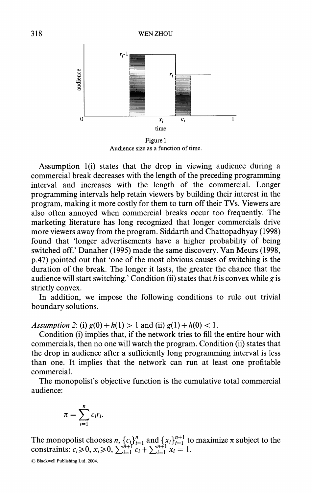

**Audience size as a function of time.** 

**Assumption l(i) states that the drop in viewing audience during a commercial break decreases with the length of the preceding programming interval and increases with the length of the commercial. Longer programming intervals help retain viewers by building their interest in the program, making it more costly for them to turn off their TVs. Viewers are also often annoyed when commercial breaks occur too frequently. The marketing literature has long recognized that longer commercials drive more viewers away from the program. Siddarth and Chattopadhyay (1998) found that 'longer advertisements have a higher probability of being switched off.' Danaher (1995) made the same discovery. Van Meurs (1998, p.47) pointed out that 'one of the most obvious causes of switching is the duration of the break. The longer it lasts, the greater the chance that the audience will start switching.' Condition (ii) states that h is convex while g is strictly convex.** 

**In addition, we impose the following conditions to rule out trivial boundary solutions.** 

*Assumption 2:* (i)  $g(0) + h(1) > 1$  and (ii)  $g(1) + h(0) < 1$ .

**Condition (i) implies that, if the network tries to fill the entire hour with commercials, then no one will watch the program. Condition (ii) states that the drop in audience after a sufficiently long programming interval is less than one. It implies that the network can run at least one profitable commercial.** 

**The monopolist's objective function is the cumulative total commercial audience:** 

$$
\pi = \sum_{i=1}^n c_i r_i
$$

The monopolist chooses  $n, \{c_i\}_{i=1}^n$  and  $\{x_i\}_{i=1}^{n+1}$  to maximize  $\pi$  subject to the constraints:  $c_i \ge 0$ ,  $x_i \ge 0$ ,  $\sum_{i=1}^{n+1} c_i + \sum_{i=1}^{n+1} x_i = 1$ .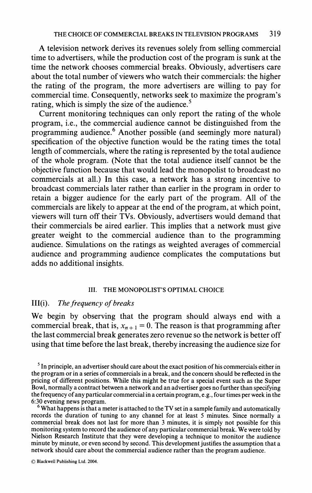**A television network derives its revenues solely from selling commercial time to advertisers, while the production cost of the program is sunk at the time the network chooses commercial breaks. Obviously, advertisers care about the total number of viewers who watch their commercials: the higher the rating of the program, the more advertisers are willing to pay for commercial time. Consequently, networks seek to maximize the program's rating, which is simply the size of the audience.5** 

**Current monitoring techniques can only report the rating of the whole program, i.e., the commercial audience cannot be distinguished from the programming audience.6 Another possible (and seemingly more natural) specification of the objective function would be the rating times the total length of commercials, where the rating is represented by the total audience of the whole program. (Note that the total audience itself cannot be the objective function because that would lead the monopolist to broadcast no commercials at all.) In this case, a network has a strong incentive to broadcast commercials later rather than earlier in the program in order to retain a bigger audience for the early part of the program. All of the commercials are likely to appear at the end of the program, at which point, viewers will turn off their TVs. Obviously, advertisers would demand that their commercials be aired earlier. This implies that a network must give greater weight to the commercial audience than to the programming audience. Simulations on the ratings as weighted averages of commercial audience and programming audience complicates the computations but adds no additional insights.** 

#### **III. THE MONOPOLIST'S OPTIMAL CHOICE**

### **III(i). The frequency of breaks**

**We begin by observing that the program should always end with a**  commercial break, that is,  $x_{n+1} = 0$ . The reason is that programming after **the last commercial break generates zero revenue so the network is better off using that time before the last break, thereby increasing the audience size for** 

<sup>6</sup> What happens is that a meter is attached to the TV set in a sample family and automatically **records the duration of tuning to any channel for at least 5 minutes. Since normally a commercial break does not last for more than 3 minutes, it is simply not possible for this monitoring system to record the audience of any particular commercial break. We were told by Nielson Research Institute that they were developing a technique to monitor the audience minute by minute, or even second by second. This development justifies the assumption that a network should care about the commercial audience rather than the program audience.** 

**<sup>5</sup> In principle, an advertiser should care about the exact position of his commercials either in the program or in a series of commercials in a break, and the concern should be reflected in the pricing of different positions. While this might be true for a special event such as the Super Bowl, normally a contract between a network and an advertiser goes no further than specifying the frequency of any particular commercial in a certain program, e.g., four times per week in the**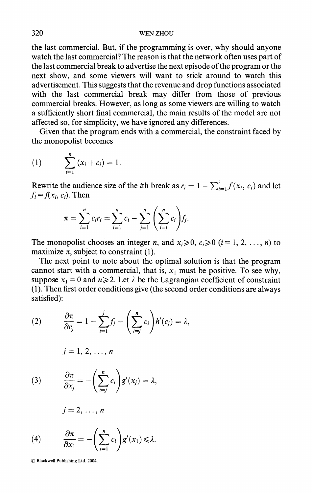**the last commercial. But, if the programming is over, why should anyone watch the last commercial? The reason is that the network often uses part of the last commercial break to advertise the next episode of the program or the next show, and some viewers will want to stick around to watch this advertisement. This suggests that the revenue and drop functions associated with the last commercial break may differ from those of previous commercial breaks. However, as long as some viewers are willing to watch a sufficiently short final commercial, the main results of the model are not affected so, for simplicity, we have ignored any differences.** 

**Given that the program ends with a commercial, the constraint faced by the monopolist becomes** 

(1) 
$$
\sum_{i=1}^{n} (x_i + c_i) = 1.
$$

**Rewrite the audience size of the** *i***th break as**  $r_i = 1 - \sum_{t=1}^{i} f(x_t, c_t)$  **and let**  $f_i = f(x_i, c_i)$ . Then

$$
\pi = \sum_{i=1}^n c_i r_i = \sum_{i=1}^n c_i - \sum_{j=1}^n \left( \sum_{i=j}^n c_i \right) f_j.
$$

The monopolist chooses an integer *n*, and  $x_i \geq 0$ ,  $c_i \geq 0$  ( $i = 1, 2, ..., n$ ) to maximize  $\pi$ , subject to constraint (1).

**The next point to note about the optimal solution is that the program**  cannot start with a commercial, that is,  $x_1$  must be positive. To see why, suppose  $x_1 = 0$  and  $n \ge 2$ . Let  $\lambda$  be the Lagrangian coefficient of constraint **(1). Then first order conditions give (the second order conditions are always satisfied):** 

(2) 
$$
\frac{\partial \pi}{\partial c_j} = 1 - \sum_{i=1}^j f_j - \left(\sum_{i=j}^n c_i\right) h'(c_j) = \lambda,
$$

$$
j=1,\,2,\,\ldots,\,n
$$

(3) 
$$
\frac{\partial \pi}{\partial x_j} = -\left(\sum_{i=j}^n c_i\right) g'(x_j) = \lambda,
$$

$$
j=2,\ldots,n
$$

(4) 
$$
\frac{\partial \pi}{\partial x_1} = -\left(\sum_{i=1}^n c_i\right) g'(x_1) \leq \lambda.
$$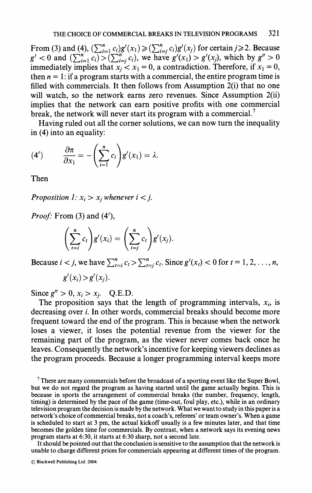**From (3) and (4),**  $(\sum_{i=1}^{n} c_i)g'(x_1) \ge (\sum_{i=1}^{n} c_i)g'(x_i)$  **for certain**  $j \ge 2$ **. Because**  $g' < 0$  and  $\left(\sum_{i=1}^n c_i\right) > \left(\sum_{i=j}^n c_i\right)$ , we have  $g'(x_1) > g'(x_1)$ , which by  $g'' > 0$ immediately implies that  $x_j < x_1 = 0$ , a contradiction. Therefore, if  $x_1 = 0$ , then  $n = 1$ : if a program starts with a commercial, the entire program time is **filled with commercials. It then follows from Assumption 2(i) that no one will watch, so the network earns zero revenues. Since Assumption 2(ii) implies that the network can earn positive profits with one commercial break, the network will never start its program with a commercial.7** 

**Having ruled out all the corner solutions, we can now turn the inequality in (4) into an equality:** 

$$
(4') \qquad \frac{\partial \pi}{\partial x_1} = -\left(\sum_{i=1}^n c_i\right) g'(x_1) = \lambda.
$$

**Then** 

**Proposition 1:**  $x_i > x_j$  whenever  $i < j$ .

**Proof: From (3) and (4'),** 

$$
\left(\sum_{i=i}^n c_i\right)g'(x_i) = \left(\sum_{i=j}^n c_i\right)g'(x_j).
$$

**Because**  $i < j$ , we have  $\sum_{t=i}^{n} c_t > \sum_{t=i}^{n} c_t$ . Since  $g'(x_t) < 0$  for  $t = 1, 2, ..., n$ ,

$$
g'(x_i) > g'(x_j).
$$

Since  $g'' > 0$ ,  $x_i > x_j$ . Q.E.D.

The proposition says that the length of programming intervals,  $x_i$ , is **decreasing over i. In other words, commercial breaks should become more frequent toward the end of the program. This is because when the network loses a viewer, it loses the potential revenue from the viewer for the remaining part of the program, as the viewer never comes back once he leaves. Consequently the network's incentive for keeping viewers declines as the program proceeds. Because a longer programming interval keeps more** 

**It should be pointed out that the conclusion is sensitive to the assumption that the network is unable to charge different prices for commercials appearing at different times of the program.** 

**<sup>7</sup> There are many commercials before the broadcast of a sporting event like the Super Bowl, but we do not regard the program as having started until the game actually begins. This is because in sports the arrangement of commercial breaks (the number, frequency, length, timing) is determined by the pace of the game (time-out, foul play, etc.), while in an ordinary television program the decision is made by the network. What we want to study in this paper is a network's choice of commercial breaks, not a coach's, referees' or team owner's. When a game is scheduled to start at 3 pm, the actual kickoff usually is a few minutes later, and that time becomes the golden time for commercials. By contrast, when a network says its evening news program starts at 6:30, it starts at 6:30 sharp, not a second late.**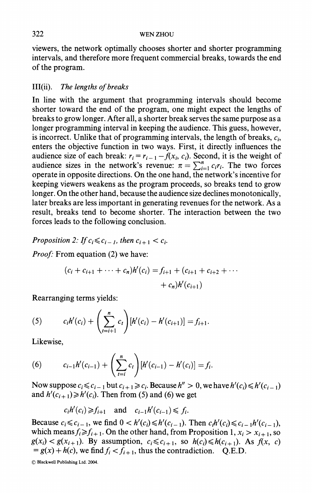**viewers, the network optimally chooses shorter and shorter programming intervals, and therefore more frequent commercial breaks, towards the end of the program.** 

# **III(ii). The lengths of breaks**

**In line with the argument that programming intervals should become shorter toward the end of the program, one might expect the lengths of breaks to grow longer. After all, a shorter break serves the same purpose as a longer programming interval in keeping the audience. This guess, however,**  is incorrect. Unlike that of programming intervals, the length of breaks,  $c_i$ , **enters the objective function in two ways. First, it directly influences the**  audience size of each break:  $r_i = r_{i-1} - f(x_i, c_i)$ . Second, it is the weight of audience sizes in the network's revenue:  $\pi = \sum_{i=1}^{n} c_i r_i$ . The two forces **operate in opposite directions. On the one hand, the network's incentive for keeping viewers weakens as the program proceeds, so breaks tend to grow longer. On the other hand, because the audience size declines monotonically, later breaks are less important in generating revenues for the network. As a result, breaks tend to become shorter. The interaction between the two forces leads to the following conclusion.** 

**Proposition 2:** If  $c_i \leq c_{i-1}$ , then  $c_{i+1} < c_i$ .

**Proof: From equation (2) we have:** 

$$
(c_i + c_{i+1} + \dots + c_n)h'(c_i) = f_{i+1} + (c_{i+1} + c_{i+2} + \dots + c_n)h'(c_{i+1})
$$

**Rearranging terms yields:** 

(5) 
$$
c_i h'(c_i) + \left(\sum_{t=i+1}^n c_t\right) [h'(c_i) - h'(c_{i+1})] = f_{i+1}.
$$

**Likewise,** 

(6) 
$$
c_{i-1}h'(c_{i-1}) + \left(\sum_{t=i}^{n} c_t\right)[h'(c_{i-1}) - h'(c_i)] = f_i.
$$

Now suppose  $c_i \leq c_{i-1}$  but  $c_{i+1} \geq c_i$ . Because  $h'' > 0$ , we have  $h'(c_i) \leq h'(c_{i-1})$ and  $h'(c_{i+1}) \geq h'(c_i)$ . Then from (5) and (6) we get

$$
c_i h'(c_i) \ge f_{i+1}
$$
 and  $c_{i-1} h'(c_{i-1}) \le f_i$ .

**Because**  $c_i \le c_{i-1}$ , we find  $0 < h'(c_i) \le h'(c_{i-1})$ . Then  $c_i h'(c_i) \le c_{i-1} h'(c_{i-1})$ , which means  $f_i \ge f_{i+1}$ . On the other hand, from Proposition 1,  $x_i > x_{i+1}$ , so  $g(x_i) < g(x_{i+1})$ . By assumption,  $c_i \leq c_{i+1}$ , so  $h(c_i) \leq h(c_{i+1})$ . As  $f(x, c)$  $= g(x) + h(c)$ , we find  $f_i < f_{i+1}$ , thus the contradiction. Q.E.D.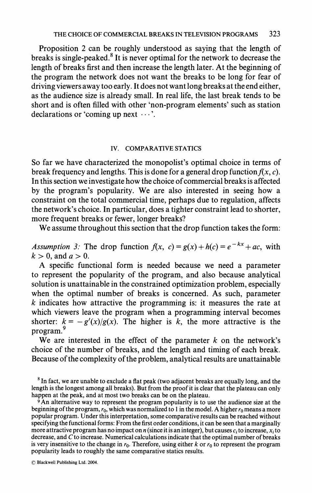**Proposition 2 can be roughly understood as saying that the length of breaks is single-peaked.8 It is never optimal for the network to decrease the length of breaks first and then increase the length later. At the beginning of the program the network does not want the breaks to be long for fear of driving viewers away too early. It does not want long breaks at the end either, as the audience size is already small. In real life, the last break tends to be short and is often filled with other 'non-program elements' such as station declarations or 'coming up next ...'.** 

#### **IV. COMPARATIVE STATICS**

**So far we have characterized the monopolist's optimal choice in terms of**  break frequency and lengths. This is done for a general drop function  $f(x, c)$ . **In this section we investigate how the choice of commercial breaks is affected by the program's popularity. We are also interested in seeing how a constraint on the total commercial time, perhaps due to regulation, affects the network's choice. In particular, does a tighter constraint lead to shorter, more frequent breaks or fewer, longer breaks?** 

**We assume throughout this section that the drop function takes the form:** 

Assumption 3: The drop function  $f(x, c) = g(x) + h(c) = e^{-kx} + ac$ , with  $k > 0$ , and  $a > 0$ .

**A specific functional form is needed because we need a parameter to represent the popularity of the program, and also because analytical solution is unattainable in the constrained optimization problem, especially**  when the optimal number of breaks is concerned. As such, parameter **k indicates how attractive the programming is: it measures the rate at which viewers leave the program when a programming interval becomes**  shorter:  $k = -g'(x)/g(x)$ . The higher is k, the more attractive is the **program.9** 

We are interested in the effect of the parameter  $k$  on the network's **choice of the number of breaks, and the length and timing of each break. Because of the complexity of the problem, analytical results are unattainable** 

**8 In fact, we are unable to exclude a flat peak (two adjacent breaks are equally long, and the length is the longest among all breaks). But from the proof it is clear that the plateau can only happen at the peak, and at most two breaks can be on the plateau.** 

**9 An alternative way to represent the program popularity is to use the audience size at the**  beginning of the program,  $r_0$ , which was normalized to 1 in the model. A higher  $r_0$  means a more **popular program. Under this interpretation, some comparative results can be reached without specifying the functional forms: From the first order conditions, it can be seen that a marginally**  more attractive program has no impact on  $n$  (since it is an integer), but causes  $c_i$  to increase,  $x_i$  to **decrease, and C to increase. Numerical calculations indicate that the optimal number of breaks**  is very insensitive to the change in  $r_0$ . Therefore, using either k or  $r_0$  to represent the program **popularity leads to roughly the same comparative statics results.**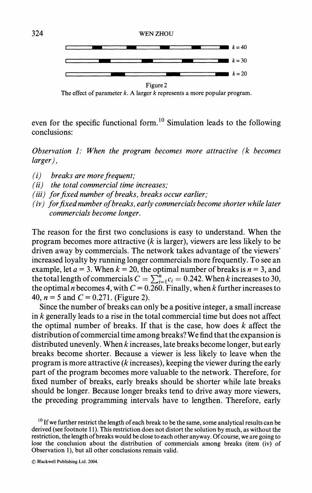

**The effect of parameter k. A larger k represents a more popular program.** 

**even for the specific functional form.10 Simulation leads to the following conclusions:** 

**Observation 1: When the program becomes more attractive (k becomes larger),** 

- **(i) breaks are more frequent;**
- **(ii) the total commercial time increases;**
- **(iii) for fixed number of breaks, breaks occur earlier;**
- **(iv) for fixed number of breaks, early commercials become shorter while later commercials become longer.**

**The reason for the first two conclusions is easy to understand. When the program becomes more attractive (k is larger), viewers are less likely to be driven away by commercials. The network takes advantage of the viewers' increased loyalty by running longer commercials more frequently. To see an**  example, let  $a = 3$ . When  $k = 20$ , the optimal number of breaks is  $n = 3$ , and the total length of commercials  $C = \sum_{i=1}^{n} c_i = 0.242$ . When k increases to 30, the optimal *n* becomes 4, with  $C = 0.260$ . Finally, when *k* further increases to 40,  $n = 5$  and  $C = 0.271$ . (Figure 2).

**Since the number of breaks can only be a positive integer, a small increase in k generally leads to a rise in the total commercial time but does not affect**  the optimal number of breaks. If that is the case, how does  $k$  affect the **distribution of commercial time among breaks? We find that the expansion is distributed unevenly. When k increases, late breaks become longer, but early breaks become shorter. Because a viewer is less likely to leave when the program is more attractive (k increases), keeping the viewer during the early part of the program becomes more valuable to the network. Therefore, for fixed number of breaks, early breaks should be shorter while late breaks should be longer. Because longer breaks tend to drive away more viewers, the preceding programming intervals have to lengthen. Therefore, early** 

**<sup>10</sup> If we further restrict the length of each break to be the same, some analytical results can be derived (see footnote 11). This restriction does not distort the solution by much, as without the restriction, the length of breaks would be close to each other anyway. Of course, we are going to**  lose the conclusion about the distribution of commercials among breaks (item (iv) of **Observation 1), but all other conclusions remain valid.**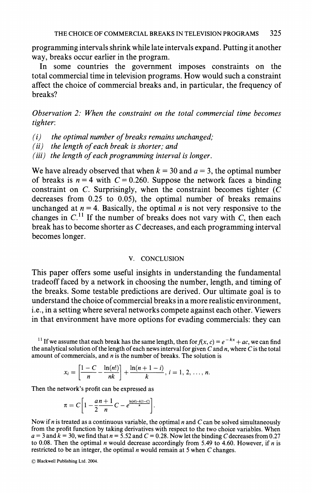**programming intervals shrink while late intervals expand. Putting it another way, breaks occur earlier in the program.** 

**In some countries the government imposes constraints on the total commercial time in television programs. How would such a constraint affect the choice of commercial breaks and, in particular, the frequency of breaks?** 

**Observation 2: When the constraint on the total commercial time becomes tighter:** 

- **(i) the optimal number of breaks remains unchanged;**
- **(ii) the length of each break is shorter; and**

**(iii) the length of each programming interval is longer.** 

We have already observed that when  $k = 30$  and  $a = 3$ , the optimal number of breaks is  $n = 4$  with  $C = 0.260$ . Suppose the network faces a binding **constraint on C. Surprisingly, when the constraint becomes tighter (C decreases from 0.25 to 0.05), the optimal number of breaks remains**  unchanged at  $n = 4$ . Basically, the optimal *n* is not very responsive to the changes in  $C<sup>11</sup>$  If the number of breaks does not vary with  $C$ , then each **break has to become shorter as C decreases, and each programming interval becomes longer.** 

### **V. CONCLUSION**

**This paper offers some useful insights in understanding the fundamental tradeoff faced by a network in choosing the number, length, and timing of the breaks. Some testable predictions are derived. Our ultimate goal is to understand the choice of commercial breaks in a more realistic environment, i.e., in a setting where several networks compete against each other. Viewers in that environment have more options for evading commercials: they can** 

<sup>11</sup> If we assume that each break has the same length, then for  $f(x, c) = e^{-kx} + ac$ , we can find the analytical solution of the length of each news interval for given  $C$  and  $n$ , where  $C$  is the total **amount of commercials, and n is the number of breaks. The solution is** 

$$
x_i = \left[\frac{1-C}{n} - \frac{\ln(n!)}{nk}\right] + \frac{\ln(n+1-i)}{k}, i = 1, 2, ..., n.
$$

**Then the network's profit can be expressed as** 

$$
\pi = C \left[ 1 - \frac{a n + 1}{2n} C - e^{\frac{\ln(n) - k(1-C)}{n}} \right].
$$

**Now if n is treated as a continuous variable, the optimal n and C can be solved simultaneously from the profit function by taking derivatives with respect to the two choice variables. When**   $a = 3$  and  $k = 30$ , we find that  $n = 5.52$  and  $C = 0.28$ . Now let the binding C decreases from 0.27 to 0.08. Then the optimal *n* would decrease accordingly from 5.49 to 4.60. However, if *n* is restricted to be an integer, the optimal *n* would remain at 5 when C changes.